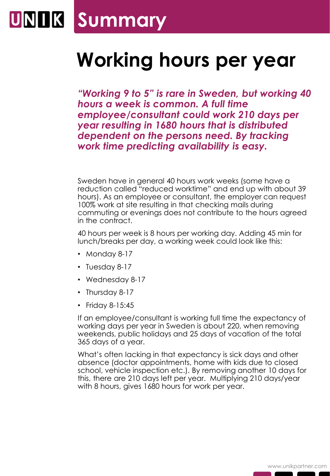## **Summary**

## **Working hours per year**

*"Working 9 to 5" is rare in Sweden, but working 40 hours a week is common. A full time employee/consultant could work 210 days per year resulting in 1680 hours that is distributed dependent on the persons need. By tracking work time predicting availability is easy.*

Sweden have in general 40 hours work weeks (some have a reduction called "reduced worktime" and end up with about 39 hours). As an employee or consultant, the employer can request 100% work at site resulting in that checking mails during commuting or evenings does not contribute to the hours agreed in the contract.

40 hours per week is 8 hours per working day. Adding 45 min for lunch/breaks per day, a working week could look like this:

- Monday 8-17
- Tuesday 8-17
- Wednesday 8-17
- Thursday 8-17
- Friday 8-15:45

If an employee/consultant is working full time the expectancy of working days per year in Sweden is about 220, when removing weekends, public holidays and 25 days of vacation of the total 365 days of a year.

What's often lacking in that expectancy is sick days and other absence (doctor appointments, home with kids due to closed school, vehicle inspection etc.). By removing another 10 days for this, there are 210 days left per year. Multiplying 210 days/year with 8 hours, gives 1680 hours for work per year.